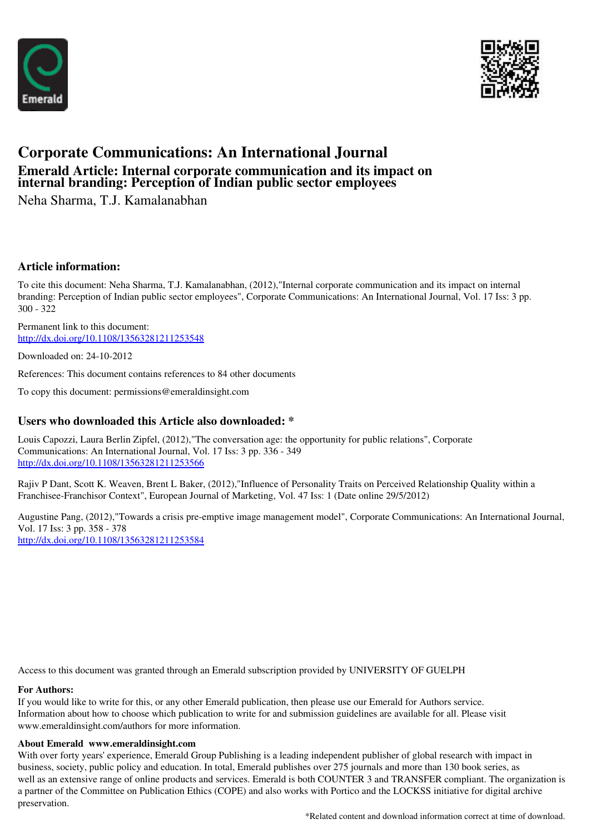



# **Corporate Communications: An International Journal Emerald Article: Internal corporate communication and its impact on internal branding: Perception of Indian public sector employees**

Neha Sharma, T.J. Kamalanabhan

# **Article information:**

To cite this document: Neha Sharma, T.J. Kamalanabhan, (2012),"Internal corporate communication and its impact on internal branding: Perception of Indian public sector employees", Corporate Communications: An International Journal, Vol. 17 Iss: 3 pp. 300 - 322

Permanent link to this document: http://dx.doi.org/10.1108/13563281211253548

Downloaded on: 24-10-2012

References: This document contains references to 84 other documents

To copy this document: permissions@emeraldinsight.com

# **Users who downloaded this Article also downloaded: \***

Louis Capozzi, Laura Berlin Zipfel, (2012),"The conversation age: the opportunity for public relations", Corporate Communications: An International Journal, Vol. 17 Iss: 3 pp. 336 - 349 http://dx.doi.org/10.1108/13563281211253566

Rajiv P Dant, Scott K. Weaven, Brent L Baker, (2012),"Influence of Personality Traits on Perceived Relationship Quality within a Franchisee-Franchisor Context", European Journal of Marketing, Vol. 47 Iss: 1 (Date online 29/5/2012)

Augustine Pang, (2012),"Towards a crisis pre-emptive image management model", Corporate Communications: An International Journal, Vol. 17 Iss: 3 pp. 358 - 378

http://dx.doi.org/10.1108/13563281211253584

Access to this document was granted through an Emerald subscription provided by UNIVERSITY OF GUELPH

# **For Authors:**

If you would like to write for this, or any other Emerald publication, then please use our Emerald for Authors service. Information about how to choose which publication to write for and submission guidelines are available for all. Please visit www.emeraldinsight.com/authors for more information.

# **About Emerald www.emeraldinsight.com**

With over forty years' experience, Emerald Group Publishing is a leading independent publisher of global research with impact in business, society, public policy and education. In total, Emerald publishes over 275 journals and more than 130 book series, as well as an extensive range of online products and services. Emerald is both COUNTER 3 and TRANSFER compliant. The organization is a partner of the Committee on Publication Ethics (COPE) and also works with Portico and the LOCKSS initiative for digital archive preservation.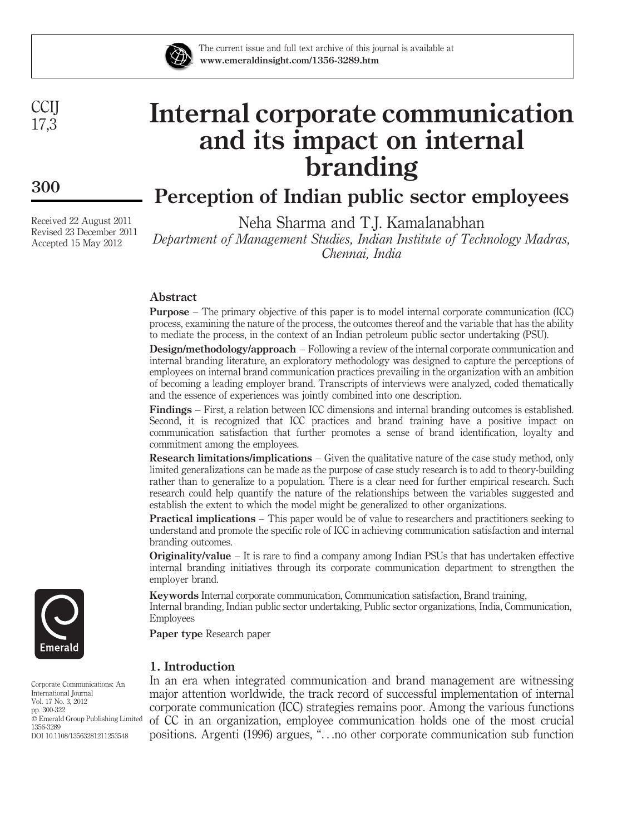

**CCII** 17,3

# 300

Received 22 August 2011 Revised 23 December 2011 Accepted 15 May 2012

# Internal corporate communication and its impact on internal branding

# Perception of Indian public sector employees

Neha Sharma and T.J. Kamalanabhan

*Department of Management Studies, Indian Institute of Technology Madras, Chennai, India*

# Abstract

Purpose – The primary objective of this paper is to model internal corporate communication (ICC) process, examining the nature of the process, the outcomes thereof and the variable that has the ability to mediate the process, in the context of an Indian petroleum public sector undertaking (PSU).

Design/methodology/approach – Following a review of the internal corporate communication and internal branding literature, an exploratory methodology was designed to capture the perceptions of employees on internal brand communication practices prevailing in the organization with an ambition of becoming a leading employer brand. Transcripts of interviews were analyzed, coded thematically and the essence of experiences was jointly combined into one description.

Findings – First, a relation between ICC dimensions and internal branding outcomes is established. Second, it is recognized that ICC practices and brand training have a positive impact on communication satisfaction that further promotes a sense of brand identification, loyalty and commitment among the employees.

Research limitations/implications – Given the qualitative nature of the case study method, only limited generalizations can be made as the purpose of case study research is to add to theory-building rather than to generalize to a population. There is a clear need for further empirical research. Such research could help quantify the nature of the relationships between the variables suggested and establish the extent to which the model might be generalized to other organizations.

Practical implications – This paper would be of value to researchers and practitioners seeking to understand and promote the specific role of ICC in achieving communication satisfaction and internal branding outcomes.

**Originality/value** – It is rare to find a company among Indian PSUs that has undertaken effective internal branding initiatives through its corporate communication department to strengthen the employer brand.

Keywords Internal corporate communication, Communication satisfaction, Brand training, Internal branding, Indian public sector undertaking, Public sector organizations, India, Communication, Employees

Paper type Research paper

# 1. Introduction

In an era when integrated communication and brand management are witnessing major attention worldwide, the track record of successful implementation of internal corporate communication (ICC) strategies remains poor. Among the various functions of CC in an organization, employee communication holds one of the most crucial positions. Argenti (1996) argues, "...no other corporate communication sub function



Corporate Communications: An International Journal Vol. 17 No. 3, 2012 pp. 300-322  $\degree$  Emerald Group Publishing Limited 1356-3289 DOI 10.1108/13563281211253548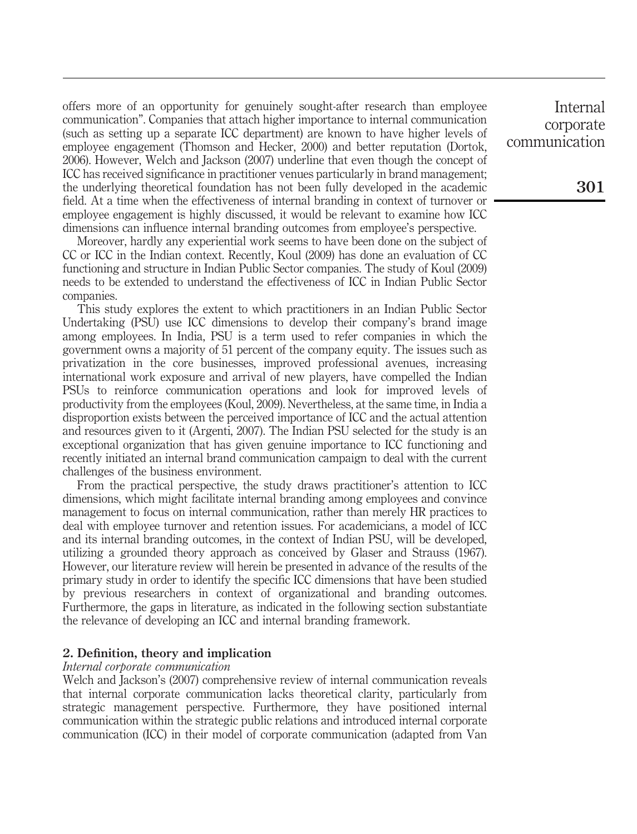offers more of an opportunity for genuinely sought-after research than employee communication". Companies that attach higher importance to internal communication (such as setting up a separate ICC department) are known to have higher levels of employee engagement (Thomson and Hecker, 2000) and better reputation (Dortok, 2006). However, Welch and Jackson (2007) underline that even though the concept of ICC has received significance in practitioner venues particularly in brand management; the underlying theoretical foundation has not been fully developed in the academic field. At a time when the effectiveness of internal branding in context of turnover or employee engagement is highly discussed, it would be relevant to examine how ICC dimensions can influence internal branding outcomes from employee's perspective.

Moreover, hardly any experiential work seems to have been done on the subject of CC or ICC in the Indian context. Recently, Koul (2009) has done an evaluation of CC functioning and structure in Indian Public Sector companies. The study of Koul (2009) needs to be extended to understand the effectiveness of ICC in Indian Public Sector companies.

This study explores the extent to which practitioners in an Indian Public Sector Undertaking (PSU) use ICC dimensions to develop their company's brand image among employees. In India, PSU is a term used to refer companies in which the government owns a majority of 51 percent of the company equity. The issues such as privatization in the core businesses, improved professional avenues, increasing international work exposure and arrival of new players, have compelled the Indian PSUs to reinforce communication operations and look for improved levels of productivity from the employees (Koul, 2009). Nevertheless, at the same time, in India a disproportion exists between the perceived importance of ICC and the actual attention and resources given to it (Argenti, 2007). The Indian PSU selected for the study is an exceptional organization that has given genuine importance to ICC functioning and recently initiated an internal brand communication campaign to deal with the current challenges of the business environment.

From the practical perspective, the study draws practitioner's attention to ICC dimensions, which might facilitate internal branding among employees and convince management to focus on internal communication, rather than merely HR practices to deal with employee turnover and retention issues. For academicians, a model of ICC and its internal branding outcomes, in the context of Indian PSU, will be developed, utilizing a grounded theory approach as conceived by Glaser and Strauss (1967). However, our literature review will herein be presented in advance of the results of the primary study in order to identify the specific ICC dimensions that have been studied by previous researchers in context of organizational and branding outcomes. Furthermore, the gaps in literature, as indicated in the following section substantiate the relevance of developing an ICC and internal branding framework.

# 2. Definition, theory and implication

# *Internal corporate communication*

Welch and Jackson's (2007) comprehensive review of internal communication reveals that internal corporate communication lacks theoretical clarity, particularly from strategic management perspective. Furthermore, they have positioned internal communication within the strategic public relations and introduced internal corporate communication (ICC) in their model of corporate communication (adapted from Van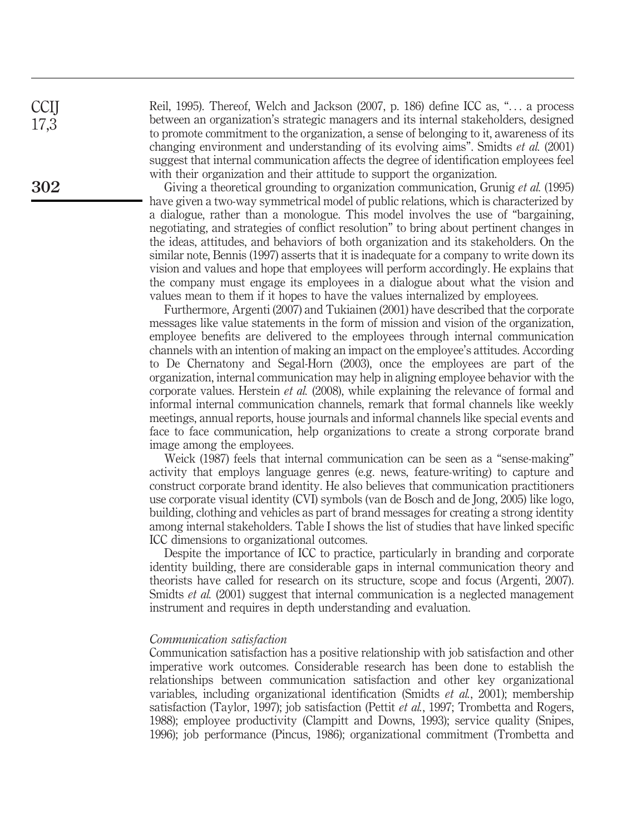Reil, 1995). Thereof, Welch and Jackson (2007, p. 186) define ICC as, "... a process between an organization's strategic managers and its internal stakeholders, designed to promote commitment to the organization, a sense of belonging to it, awareness of its changing environment and understanding of its evolving aims". Smidts *et al.* (2001) suggest that internal communication affects the degree of identification employees feel with their organization and their attitude to support the organization.

Giving a theoretical grounding to organization communication, Grunig *et al.* (1995) have given a two-way symmetrical model of public relations, which is characterized by a dialogue, rather than a monologue. This model involves the use of "bargaining, negotiating, and strategies of conflict resolution" to bring about pertinent changes in the ideas, attitudes, and behaviors of both organization and its stakeholders. On the similar note, Bennis (1997) asserts that it is inadequate for a company to write down its vision and values and hope that employees will perform accordingly. He explains that the company must engage its employees in a dialogue about what the vision and values mean to them if it hopes to have the values internalized by employees.

Furthermore, Argenti (2007) and Tukiainen (2001) have described that the corporate messages like value statements in the form of mission and vision of the organization, employee benefits are delivered to the employees through internal communication channels with an intention of making an impact on the employee's attitudes. According to De Chernatony and Segal-Horn (2003), once the employees are part of the organization, internal communication may help in aligning employee behavior with the corporate values. Herstein *et al.* (2008), while explaining the relevance of formal and informal internal communication channels, remark that formal channels like weekly meetings, annual reports, house journals and informal channels like special events and face to face communication, help organizations to create a strong corporate brand image among the employees.

Weick (1987) feels that internal communication can be seen as a "sense-making" activity that employs language genres (e.g. news, feature-writing) to capture and construct corporate brand identity. He also believes that communication practitioners use corporate visual identity (CVI) symbols (van de Bosch and de Jong, 2005) like logo, building, clothing and vehicles as part of brand messages for creating a strong identity among internal stakeholders. Table I shows the list of studies that have linked specific ICC dimensions to organizational outcomes.

Despite the importance of ICC to practice, particularly in branding and corporate identity building, there are considerable gaps in internal communication theory and theorists have called for research on its structure, scope and focus (Argenti, 2007). Smidts *et al.* (2001) suggest that internal communication is a neglected management instrument and requires in depth understanding and evaluation.

# *Communication satisfaction*

Communication satisfaction has a positive relationship with job satisfaction and other imperative work outcomes. Considerable research has been done to establish the relationships between communication satisfaction and other key organizational variables, including organizational identification (Smidts *et al.*, 2001); membership satisfaction (Taylor, 1997); job satisfaction (Pettit *et al.*, 1997; Trombetta and Rogers, 1988); employee productivity (Clampitt and Downs, 1993); service quality (Snipes, 1996); job performance (Pincus, 1986); organizational commitment (Trombetta and

**CCII** 17,3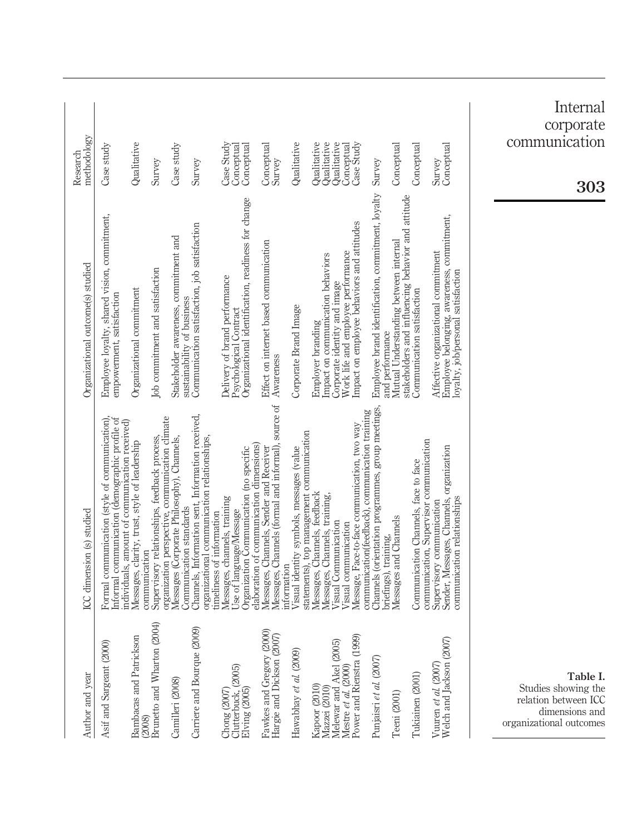| Author and year                                                                                                | ICC dimension (s) studied                                                                                                                                                                                  | Organizational outcome(s) studied                                                                                                                                          | methodology<br>Research                                               |
|----------------------------------------------------------------------------------------------------------------|------------------------------------------------------------------------------------------------------------------------------------------------------------------------------------------------------------|----------------------------------------------------------------------------------------------------------------------------------------------------------------------------|-----------------------------------------------------------------------|
| Asif and Sargeant (2000                                                                                        | Informal communication (demographic profile of<br>Formal communication (style of communication)<br>individuals, amount of communication received)                                                          | Employee loyalty, shared vision, commitment,<br>empowerment, satisfaction                                                                                                  | Case study                                                            |
| Bambacas and Patrickson<br>(2008)                                                                              | Messages, clarity, trust, style of leadership<br>communication                                                                                                                                             | Organizational commitment                                                                                                                                                  | Qualitative                                                           |
| (2004)<br>Brunetto and Wharton (                                                                               | Supervisory relationships, feedback process,                                                                                                                                                               | Job commitment and satisfaction                                                                                                                                            | Survey                                                                |
| Camilleri (2008)                                                                                               | organization perspective, communication climate<br>Messages (Corporate Philosophy), Channels,<br>Communication standards                                                                                   | Stakeholder awareness, commitment and<br>sustainability of business                                                                                                        | Case study                                                            |
| Carriere and Bourque (2009)                                                                                    | Channels, Information sent, Information received,<br>organizational communication relationships,                                                                                                           | Communication satisfaction, job satisfaction                                                                                                                               | Survey                                                                |
| Clutterbuck, (2005)<br>Elving (2005)<br>Chong (2007)                                                           | elaboration of communication dimensions)<br>Organization Communication (no specific<br>Messages, channels, training<br>Use of language/Message<br>timeliness of information                                | Organizational identification, readiness for change<br>Delivery of brand performance<br>Psychological Contract                                                             | Case Study<br>Conceptual<br>Conceptual                                |
| (000)<br>Hargie and Dickson (2007)<br>Fawkes and Gregory (20                                                   | Messages, Channels (formal and informal), source of<br>Messages, Channels, Sender and Receiver                                                                                                             | Effect on internet based communication<br>Awareness                                                                                                                        | Conceptual<br>Survey                                                  |
| Hawabhay et al. (2009)                                                                                         | Visual identity symbols, messages (value<br>information                                                                                                                                                    | Corporate Brand Image                                                                                                                                                      | Qualitative                                                           |
| Power and Rienstra (1999)<br>Melewar and Akel (2005)<br>Mestre et al. (2000)<br>Kapoor (2010)<br>Mazzei (2010) | Message, Face-to-face communication, two way<br>statements), top management communication<br>Messages, Channels, feedback<br>Messages, Channels, training,<br>Visual Communication<br>Visual communication | Impact on employee behaviors and attitudes<br>Work life and employee performance<br>Impact on communication behaviors<br>Corporate identity and image<br>Employer branding | Qualitative<br>Qualitative<br>Qualitative<br>Case Study<br>Conceptual |
| Punjaisri et al. (2007)                                                                                        | Channels (orientation programmes, group meetings,<br>communication(feedback), communication training<br>briefings), training,                                                                              | Employee brand identification, commitment, loyalty<br>and performance                                                                                                      | Survey                                                                |
| Teeni (2001)                                                                                                   | Messages and Channels                                                                                                                                                                                      | stakeholders and influencing behavior and attitude<br>Mutual Understanding between internal                                                                                | Conceptual                                                            |
| Tukiainen (2001)                                                                                               | communication, Supervisor communication<br>Communication Channels, face to face                                                                                                                            | Communication satisfaction                                                                                                                                                 | Conceptual                                                            |
| Welch and Jackson (2007)<br>Vuuren et al. (2007)                                                               | Sender, Messages, Channels, organization<br>communication relationships<br>Supervisory communication                                                                                                       | Employee belonging, awareness, commitment,<br>loyalty, job/personal satisfaction<br>Affective organizational commitment                                                    | Conceptual<br>Survey                                                  |
| Table I.<br>Studies showing the<br>relation between ICC<br>dimensions and<br>organizational outcomes           |                                                                                                                                                                                                            |                                                                                                                                                                            | Internal<br>corporate<br>communication<br>303                         |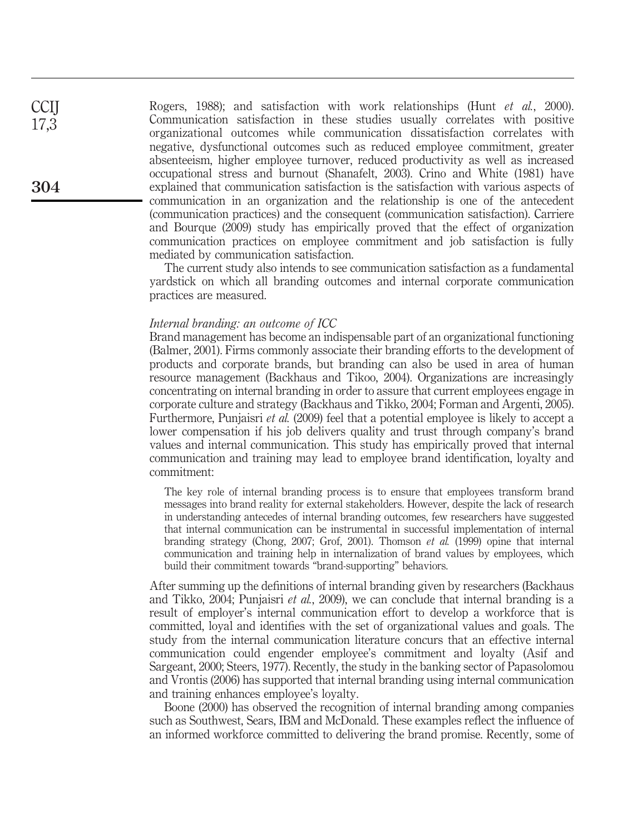Rogers, 1988); and satisfaction with work relationships (Hunt *et al.*, 2000). Communication satisfaction in these studies usually correlates with positive organizational outcomes while communication dissatisfaction correlates with negative, dysfunctional outcomes such as reduced employee commitment, greater absenteeism, higher employee turnover, reduced productivity as well as increased occupational stress and burnout (Shanafelt, 2003). Crino and White (1981) have explained that communication satisfaction is the satisfaction with various aspects of communication in an organization and the relationship is one of the antecedent (communication practices) and the consequent (communication satisfaction). Carriere and Bourque (2009) study has empirically proved that the effect of organization communication practices on employee commitment and job satisfaction is fully mediated by communication satisfaction.

The current study also intends to see communication satisfaction as a fundamental yardstick on which all branding outcomes and internal corporate communication practices are measured.

#### *Internal branding: an outcome of ICC*

Brand management has become an indispensable part of an organizational functioning (Balmer, 2001). Firms commonly associate their branding efforts to the development of products and corporate brands, but branding can also be used in area of human resource management (Backhaus and Tikoo, 2004). Organizations are increasingly concentrating on internal branding in order to assure that current employees engage in corporate culture and strategy (Backhaus and Tikko, 2004; Forman and Argenti, 2005). Furthermore, Punjaisri *et al.* (2009) feel that a potential employee is likely to accept a lower compensation if his job delivers quality and trust through company's brand values and internal communication. This study has empirically proved that internal communication and training may lead to employee brand identification, loyalty and commitment:

The key role of internal branding process is to ensure that employees transform brand messages into brand reality for external stakeholders. However, despite the lack of research in understanding antecedes of internal branding outcomes, few researchers have suggested that internal communication can be instrumental in successful implementation of internal branding strategy (Chong, 2007; Grof, 2001). Thomson *et al.* (1999) opine that internal communication and training help in internalization of brand values by employees, which build their commitment towards "brand-supporting" behaviors.

After summing up the definitions of internal branding given by researchers (Backhaus and Tikko, 2004; Punjaisri *et al.*, 2009), we can conclude that internal branding is a result of employer's internal communication effort to develop a workforce that is committed, loyal and identifies with the set of organizational values and goals. The study from the internal communication literature concurs that an effective internal communication could engender employee's commitment and loyalty (Asif and Sargeant, 2000; Steers, 1977). Recently, the study in the banking sector of Papasolomou and Vrontis (2006) has supported that internal branding using internal communication and training enhances employee's loyalty.

Boone (2000) has observed the recognition of internal branding among companies such as Southwest, Sears, IBM and McDonald. These examples reflect the influence of an informed workforce committed to delivering the brand promise. Recently, some of

304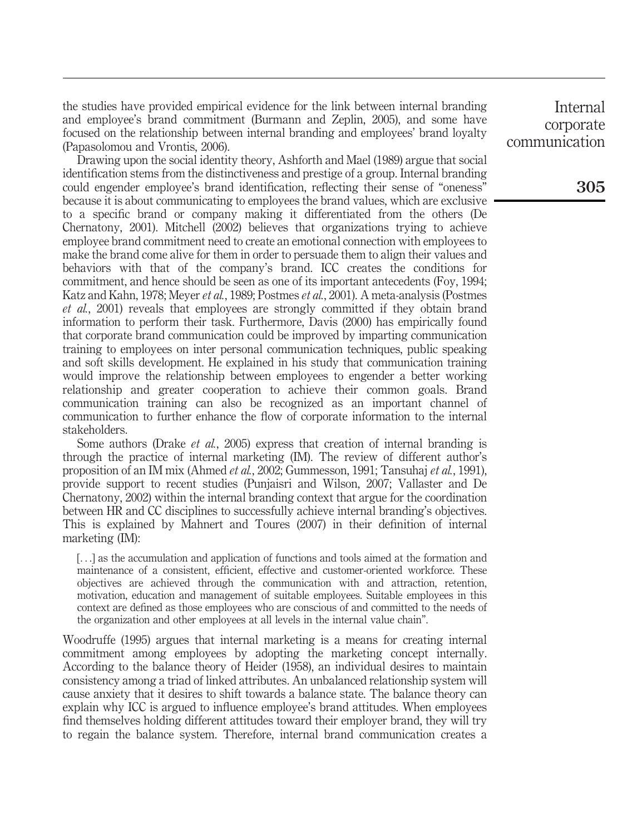the studies have provided empirical evidence for the link between internal branding and employee's brand commitment (Burmann and Zeplin, 2005), and some have focused on the relationship between internal branding and employees' brand loyalty (Papasolomou and Vrontis, 2006).

Drawing upon the social identity theory, Ashforth and Mael (1989) argue that social identification stems from the distinctiveness and prestige of a group. Internal branding could engender employee's brand identification, reflecting their sense of "oneness" because it is about communicating to employees the brand values, which are exclusive to a specific brand or company making it differentiated from the others (De Chernatony, 2001). Mitchell (2002) believes that organizations trying to achieve employee brand commitment need to create an emotional connection with employees to make the brand come alive for them in order to persuade them to align their values and behaviors with that of the company's brand. ICC creates the conditions for commitment, and hence should be seen as one of its important antecedents (Foy, 1994; Katz and Kahn, 1978; Meyer *et al.*, 1989; Postmes *et al.*, 2001). A meta-analysis (Postmes *et al.*, 2001) reveals that employees are strongly committed if they obtain brand information to perform their task. Furthermore, Davis (2000) has empirically found that corporate brand communication could be improved by imparting communication training to employees on inter personal communication techniques, public speaking and soft skills development. He explained in his study that communication training would improve the relationship between employees to engender a better working relationship and greater cooperation to achieve their common goals. Brand communication training can also be recognized as an important channel of communication to further enhance the flow of corporate information to the internal stakeholders.

Some authors (Drake *et al.*, 2005) express that creation of internal branding is through the practice of internal marketing (IM). The review of different author's proposition of an IM mix (Ahmed *et al.*, 2002; Gummesson, 1991; Tansuhaj *et al.*, 1991), provide support to recent studies (Punjaisri and Wilson, 2007; Vallaster and De Chernatony, 2002) within the internal branding context that argue for the coordination between HR and CC disciplines to successfully achieve internal branding's objectives. This is explained by Mahnert and Toures (2007) in their definition of internal marketing (IM):

[...] as the accumulation and application of functions and tools aimed at the formation and maintenance of a consistent, efficient, effective and customer-oriented workforce. These objectives are achieved through the communication with and attraction, retention, motivation, education and management of suitable employees. Suitable employees in this context are defined as those employees who are conscious of and committed to the needs of the organization and other employees at all levels in the internal value chain".

Woodruffe (1995) argues that internal marketing is a means for creating internal commitment among employees by adopting the marketing concept internally. According to the balance theory of Heider (1958), an individual desires to maintain consistency among a triad of linked attributes. An unbalanced relationship system will cause anxiety that it desires to shift towards a balance state. The balance theory can explain why ICC is argued to influence employee's brand attitudes. When employees find themselves holding different attitudes toward their employer brand, they will try to regain the balance system. Therefore, internal brand communication creates a

Internal corporate communication

305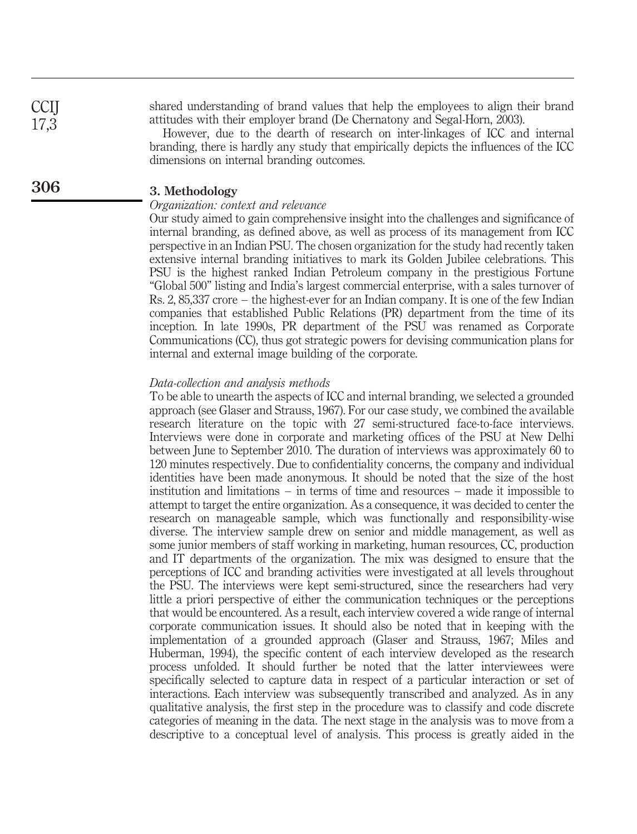**CCII** 17,3

306

shared understanding of brand values that help the employees to align their brand attitudes with their employer brand (De Chernatony and Segal-Horn, 2003).

However, due to the dearth of research on inter-linkages of ICC and internal branding, there is hardly any study that empirically depicts the influences of the ICC dimensions on internal branding outcomes.

# 3. Methodology

# *Organization: context and relevance*

Our study aimed to gain comprehensive insight into the challenges and significance of internal branding, as defined above, as well as process of its management from ICC perspective in an Indian PSU. The chosen organization for the study had recently taken extensive internal branding initiatives to mark its Golden Jubilee celebrations. This PSU is the highest ranked Indian Petroleum company in the prestigious Fortune "Global 500" listing and India's largest commercial enterprise, with a sales turnover of Rs. 2, 85,337 crore – the highest-ever for an Indian company. It is one of the few Indian companies that established Public Relations (PR) department from the time of its inception. In late 1990s, PR department of the PSU was renamed as Corporate Communications (CC), thus got strategic powers for devising communication plans for internal and external image building of the corporate.

## *Data-collection and analysis methods*

To be able to unearth the aspects of ICC and internal branding, we selected a grounded approach (see Glaser and Strauss, 1967). For our case study, we combined the available research literature on the topic with 27 semi-structured face-to-face interviews. Interviews were done in corporate and marketing offices of the PSU at New Delhi between June to September 2010. The duration of interviews was approximately 60 to 120 minutes respectively. Due to confidentiality concerns, the company and individual identities have been made anonymous. It should be noted that the size of the host institution and limitations – in terms of time and resources – made it impossible to attempt to target the entire organization. As a consequence, it was decided to center the research on manageable sample, which was functionally and responsibility-wise diverse. The interview sample drew on senior and middle management, as well as some junior members of staff working in marketing, human resources, CC, production and IT departments of the organization. The mix was designed to ensure that the perceptions of ICC and branding activities were investigated at all levels throughout the PSU. The interviews were kept semi-structured, since the researchers had very little a priori perspective of either the communication techniques or the perceptions that would be encountered. As a result, each interview covered a wide range of internal corporate communication issues. It should also be noted that in keeping with the implementation of a grounded approach (Glaser and Strauss, 1967; Miles and Huberman, 1994), the specific content of each interview developed as the research process unfolded. It should further be noted that the latter interviewees were specifically selected to capture data in respect of a particular interaction or set of interactions. Each interview was subsequently transcribed and analyzed. As in any qualitative analysis, the first step in the procedure was to classify and code discrete categories of meaning in the data. The next stage in the analysis was to move from a descriptive to a conceptual level of analysis. This process is greatly aided in the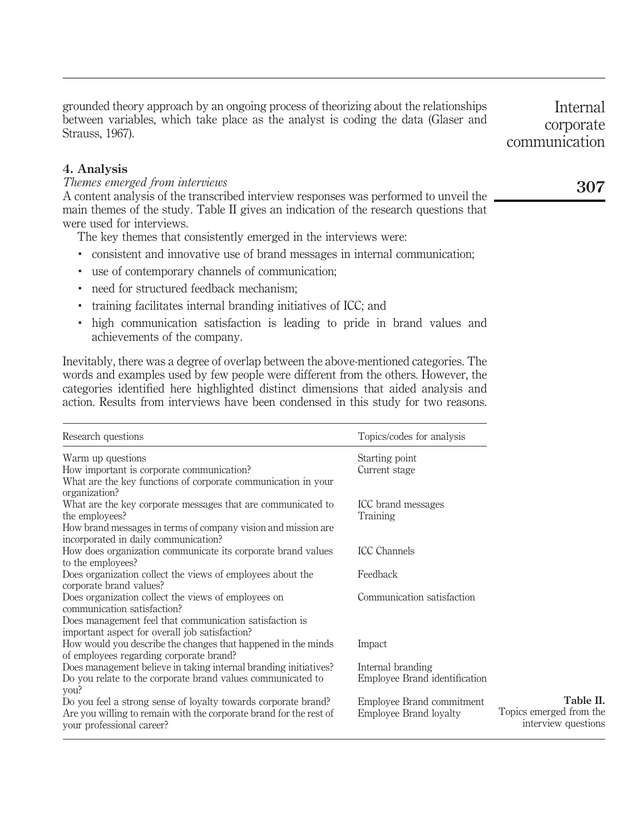grounded theory approach by an ongoing process of theorizing about the relationships between variables, which take place as the analyst is coding the data (Glaser and Strauss, 1967).

4. Analysis

*Themes emerged from interviews*

A content analysis of the transcribed interview responses was performed to unveil the main themes of the study. Table II gives an indication of the research questions that were used for interviews.

The key themes that consistently emerged in the interviews were:

- . consistent and innovative use of brand messages in internal communication;
- . use of contemporary channels of communication;
- . need for structured feedback mechanism;
- . training facilitates internal branding initiatives of ICC; and
- . high communication satisfaction is leading to pride in brand values and achievements of the company.

Inevitably, there was a degree of overlap between the above-mentioned categories. The words and examples used by few people were different from the others. However, the categories identified here highlighted distinct dimensions that aided analysis and action. Results from interviews have been condensed in this study for two reasons.

| Research questions                                                                                                                                                        | Topics/codes for analysis                           |                                                             |
|---------------------------------------------------------------------------------------------------------------------------------------------------------------------------|-----------------------------------------------------|-------------------------------------------------------------|
| Warm up questions<br>How important is corporate communication?<br>What are the key functions of corporate communication in your                                           | Starting point<br>Current stage                     |                                                             |
| organization?<br>What are the key corporate messages that are communicated to<br>the employees?<br>How brand messages in terms of company vision and mission are.         | ICC brand messages<br>Training                      |                                                             |
| incorporated in daily communication?<br>How does organization communicate its corporate brand values<br>to the employees?                                                 | <b>ICC</b> Channels                                 |                                                             |
| Does organization collect the views of employees about the<br>corporate brand values?                                                                                     | Feedback                                            |                                                             |
| Does organization collect the views of employees on<br>communication satisfaction?                                                                                        | Communication satisfaction                          |                                                             |
| Does management feel that communication satisfaction is<br>important aspect for overall job satisfaction?                                                                 |                                                     |                                                             |
| How would you describe the changes that happened in the minds<br>of employees regarding corporate brand?                                                                  | Impact                                              |                                                             |
| Does management believe in taking internal branding initiatives?<br>Do you relate to the corporate brand values communicated to                                           | Internal branding<br>Employee Brand identification  |                                                             |
| you?<br>Do you feel a strong sense of loyalty towards corporate brand?<br>Are you willing to remain with the corporate brand for the rest of<br>your professional career? | Employee Brand commitment<br>Employee Brand loyalty | Table II.<br>Topics emerged from the<br>interview questions |

communication

307

Internal corporate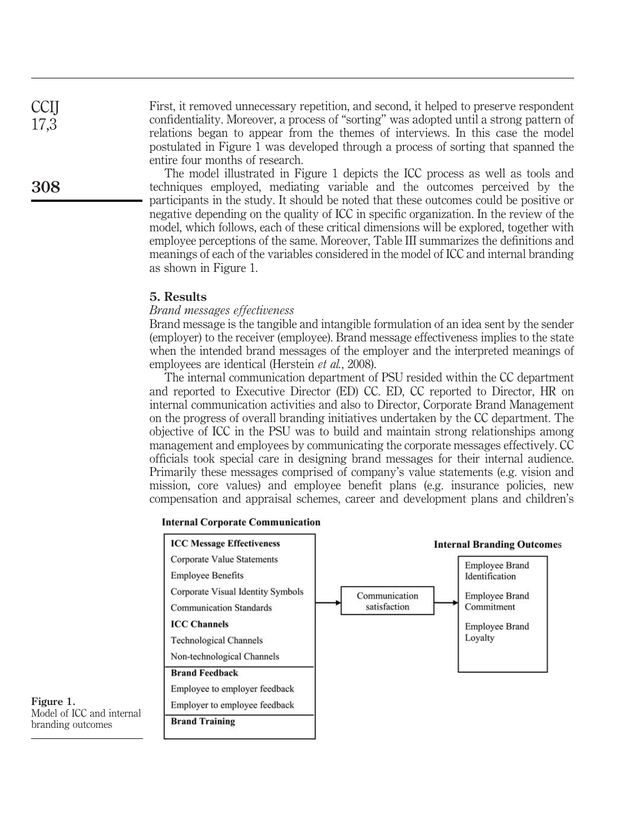First, it removed unnecessary repetition, and second, it helped to preserve respondent confidentiality. Moreover, a process of "sorting'' was adopted until a strong pattern of relations began to appear from the themes of interviews. In this case the model postulated in Figure 1 was developed through a process of sorting that spanned the entire four months of research.

The model illustrated in Figure 1 depicts the ICC process as well as tools and techniques employed, mediating variable and the outcomes perceived by the participants in the study. It should be noted that these outcomes could be positive or negative depending on the quality of ICC in specific organization. In the review of the model, which follows, each of these critical dimensions will be explored, together with employee perceptions of the same. Moreover, Table III summarizes the definitions and meanings of each of the variables considered in the model of ICC and internal branding as shown in Figure 1.

# 5. Results

# *Brand messages effectiveness*

Brand message is the tangible and intangible formulation of an idea sent by the sender (employer) to the receiver (employee). Brand message effectiveness implies to the state when the intended brand messages of the employer and the interpreted meanings of employees are identical (Herstein *et al.*, 2008).

The internal communication department of PSU resided within the CC department and reported to Executive Director (ED) CC. ED, CC reported to Director, HR on internal communication activities and also to Director, Corporate Brand Management on the progress of overall branding initiatives undertaken by the CC department. The objective of ICC in the PSU was to build and maintain strong relationships among management and employees by communicating the corporate messages effectively. CC officials took special care in designing brand messages for their internal audience. Primarily these messages comprised of company's value statements (e.g. vision and mission, core values) and employee benefit plans (e.g. insurance policies, new compensation and appraisal schemes, career and development plans and children's



#### **Internal Corporate Communication**

**CCII** 17,3

308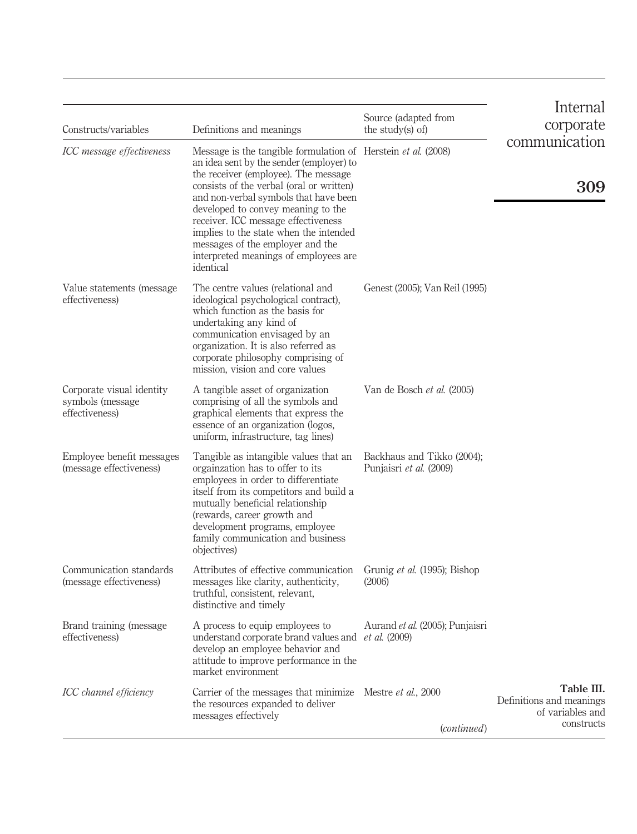| Constructs/variables                                            | Definitions and meanings                                                                                                                                                                                                                                                                                                                                                                                                                                | Source (adapted from<br>the study(s) of)              | Internal<br>corporate                                                    |
|-----------------------------------------------------------------|---------------------------------------------------------------------------------------------------------------------------------------------------------------------------------------------------------------------------------------------------------------------------------------------------------------------------------------------------------------------------------------------------------------------------------------------------------|-------------------------------------------------------|--------------------------------------------------------------------------|
| ICC message effectiveness                                       | Message is the tangible formulation of Herstein et al. (2008)<br>an idea sent by the sender (employer) to<br>the receiver (employee). The message<br>consists of the verbal (oral or written)<br>and non-verbal symbols that have been<br>developed to convey meaning to the<br>receiver. ICC message effectiveness<br>implies to the state when the intended<br>messages of the employer and the<br>interpreted meanings of employees are<br>identical |                                                       | communication<br>309                                                     |
| Value statements (message)<br>effectiveness)                    | The centre values (relational and<br>ideological psychological contract),<br>which function as the basis for<br>undertaking any kind of<br>communication envisaged by an<br>organization. It is also referred as<br>corporate philosophy comprising of<br>mission, vision and core values                                                                                                                                                               | Genest (2005); Van Reil (1995)                        |                                                                          |
| Corporate visual identity<br>symbols (message<br>effectiveness) | A tangible asset of organization<br>comprising of all the symbols and<br>graphical elements that express the<br>essence of an organization (logos,<br>uniform, infrastructure, tag lines)                                                                                                                                                                                                                                                               | Van de Bosch et al. (2005)                            |                                                                          |
| Employee benefit messages<br>(message effectiveness)            | Tangible as intangible values that an<br>orgainzation has to offer to its<br>employees in order to differentiate<br>itself from its competitors and build a<br>mutually beneficial relationship<br>(rewards, career growth and<br>development programs, employee<br>family communication and business<br>objectives)                                                                                                                                    | Backhaus and Tikko (2004);<br>Punjaisri et al. (2009) |                                                                          |
| Communication standards<br>(message effectiveness)              | Attributes of effective communication<br>messages like clarity, authenticity,<br>truthful, consistent, relevant,<br>distinctive and timely                                                                                                                                                                                                                                                                                                              | Grunig et al. (1995); Bishop<br>(2006)                |                                                                          |
| Brand training (message)<br>effectiveness)                      | A process to equip employees to<br>understand corporate brand values and <i>et al.</i> (2009)<br>develop an employee behavior and<br>attitude to improve performance in the<br>market environment                                                                                                                                                                                                                                                       | Aurand et al. (2005); Punjaisri                       |                                                                          |
| ICC channel efficiency                                          | Carrier of the messages that minimize<br>the resources expanded to deliver<br>messages effectively                                                                                                                                                                                                                                                                                                                                                      | Mestre <i>et al.</i> , 2000<br>( <i>continued</i> )   | Table III.<br>Definitions and meanings<br>of variables and<br>constructs |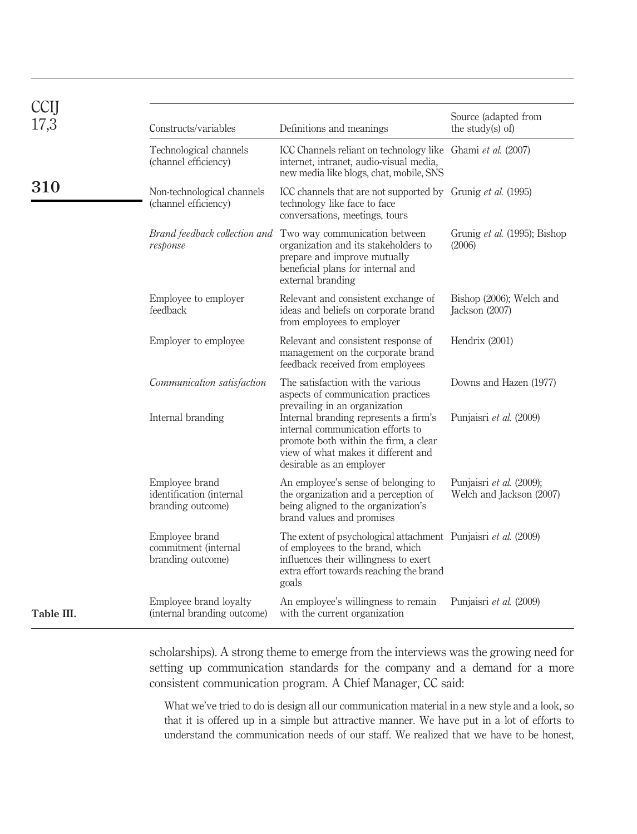|            | Constructs/variables                                            | Definitions and meanings                                                                                                                                                                        | Source (adapted from<br>the study(s) of              |
|------------|-----------------------------------------------------------------|-------------------------------------------------------------------------------------------------------------------------------------------------------------------------------------------------|------------------------------------------------------|
|            | Technological channels<br>(channel efficiency)                  | ICC Channels reliant on technology like Ghami et al. (2007)<br>internet, intranet, audio-visual media,<br>new media like blogs, chat, mobile, SNS                                               |                                                      |
| 310        | Non-technological channels<br>(channel efficiency)              | ICC channels that are not supported by Grunig et al. (1995)<br>technology like face to face<br>conversations, meetings, tours                                                                   |                                                      |
|            | Brand feedback collection and<br>response                       | Two way communication between<br>organization and its stakeholders to<br>prepare and improve mutually<br>beneficial plans for internal and<br>external branding                                 | Grunig et al. (1995); Bishop<br>(2006)               |
|            | Employee to employer<br>feedback                                | Relevant and consistent exchange of<br>ideas and beliefs on corporate brand<br>from employees to employer                                                                                       | Bishop (2006); Welch and<br>Jackson (2007)           |
|            | Employer to employee                                            | Relevant and consistent response of<br>management on the corporate brand<br>feedback received from employees                                                                                    | Hendrix (2001)                                       |
|            | Communication satisfaction                                      | The satisfaction with the various<br>aspects of communication practices<br>prevailing in an organization                                                                                        | Downs and Hazen (1977)                               |
|            | Internal branding                                               | Internal branding represents a firm's<br>internal communication efforts to<br>promote both within the firm, a clear<br>view of what makes it different and<br>desirable as an employer          | Punjaisri et al. (2009)                              |
|            | Employee brand<br>identification (internal<br>branding outcome) | An employee's sense of belonging to<br>the organization and a perception of<br>being aligned to the organization's<br>brand values and promises                                                 | Punjaisri et al. (2009);<br>Welch and Jackson (2007) |
|            | Employee brand<br>commitment (internal<br>branding outcome)     | The extent of psychological attachment Punjaisri et al. (2009)<br>of employees to the brand, which<br>influences their willingness to exert<br>extra effort towards reaching the brand<br>goals |                                                      |
| Table III. | Employee brand loyalty<br>(internal branding outcome)           | An employee's willingness to remain<br>with the current organization                                                                                                                            | Punjaisri et al. (2009)                              |

scholarships). A strong theme to emerge from the interviews was the growing need for setting up communication standards for the company and a demand for a more consistent communication program. A Chief Manager, CC said:

What we've tried to do is design all our communication material in a new style and a look, so that it is offered up in a simple but attractive manner. We have put in a lot of efforts to understand the communication needs of our staff. We realized that we have to be honest,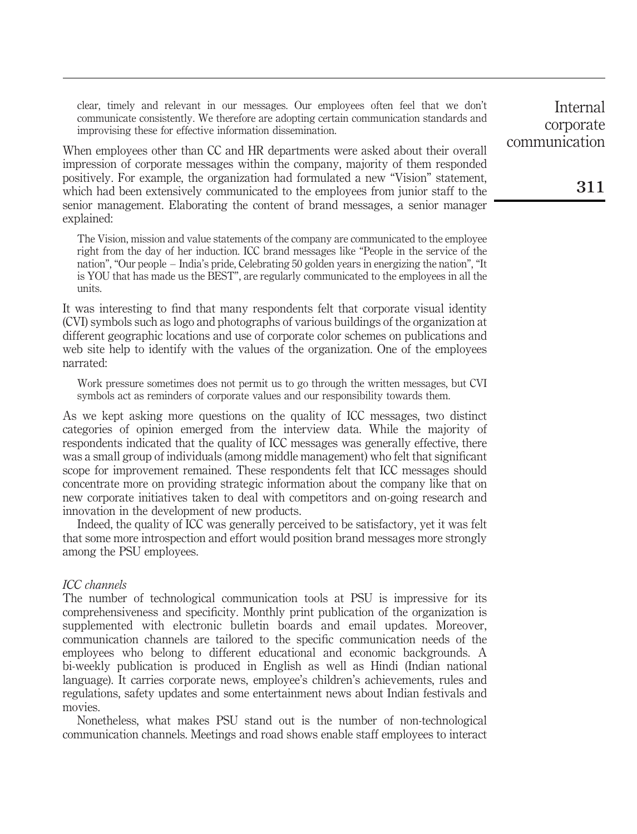clear, timely and relevant in our messages. Our employees often feel that we don't communicate consistently. We therefore are adopting certain communication standards and improvising these for effective information dissemination.

When employees other than CC and HR departments were asked about their overall impression of corporate messages within the company, majority of them responded positively. For example, the organization had formulated a new "Vision" statement, which had been extensively communicated to the employees from junior staff to the senior management. Elaborating the content of brand messages, a senior manager explained:

The Vision, mission and value statements of the company are communicated to the employee right from the day of her induction. ICC brand messages like "People in the service of the nation", "Our people – India's pride, Celebrating 50 golden years in energizing the nation", "It is YOU that has made us the BEST", are regularly communicated to the employees in all the units.

It was interesting to find that many respondents felt that corporate visual identity (CVI) symbols such as logo and photographs of various buildings of the organization at different geographic locations and use of corporate color schemes on publications and web site help to identify with the values of the organization. One of the employees narrated:

Work pressure sometimes does not permit us to go through the written messages, but CVI symbols act as reminders of corporate values and our responsibility towards them.

As we kept asking more questions on the quality of ICC messages, two distinct categories of opinion emerged from the interview data. While the majority of respondents indicated that the quality of ICC messages was generally effective, there was a small group of individuals (among middle management) who felt that significant scope for improvement remained. These respondents felt that ICC messages should concentrate more on providing strategic information about the company like that on new corporate initiatives taken to deal with competitors and on-going research and innovation in the development of new products.

Indeed, the quality of ICC was generally perceived to be satisfactory, yet it was felt that some more introspection and effort would position brand messages more strongly among the PSU employees.

## *ICC channels*

The number of technological communication tools at PSU is impressive for its comprehensiveness and specificity. Monthly print publication of the organization is supplemented with electronic bulletin boards and email updates. Moreover, communication channels are tailored to the specific communication needs of the employees who belong to different educational and economic backgrounds. A bi-weekly publication is produced in English as well as Hindi (Indian national language). It carries corporate news, employee's children's achievements, rules and regulations, safety updates and some entertainment news about Indian festivals and movies.

Nonetheless, what makes PSU stand out is the number of non-technological communication channels. Meetings and road shows enable staff employees to interact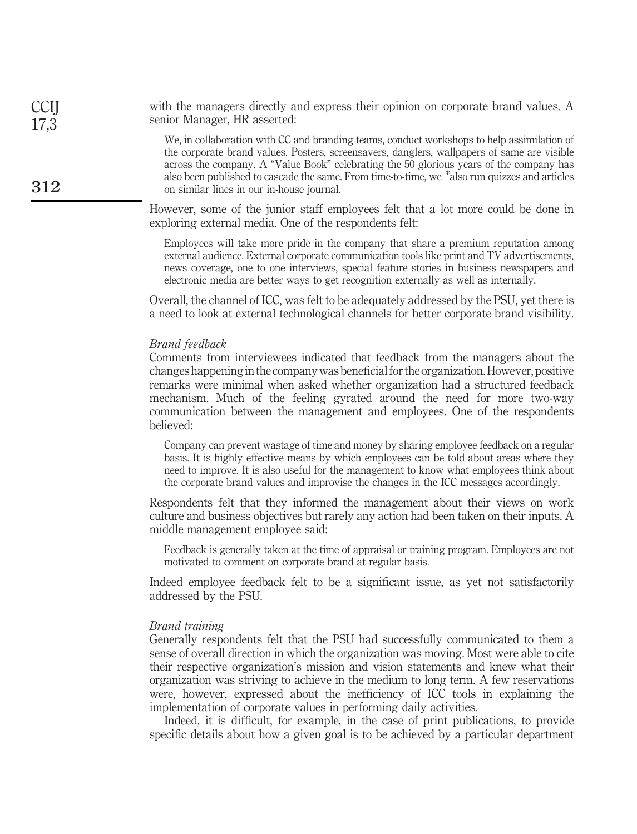| 17,3 | senior Manager, HR asserted:                                                                                                                                                                                                                                                                                                                                                                                                                                                                                                                                                                                                   |
|------|--------------------------------------------------------------------------------------------------------------------------------------------------------------------------------------------------------------------------------------------------------------------------------------------------------------------------------------------------------------------------------------------------------------------------------------------------------------------------------------------------------------------------------------------------------------------------------------------------------------------------------|
| 312  | We, in collaboration with CC and branding teams, conduct workshops to help assimilation of<br>the corporate brand values. Posters, screensavers, danglers, wallpapers of same are visible<br>across the company. A "Value Book" celebrating the 50 glorious years of the company has<br>also been published to cascade the same. From time-to-time, we *also run quizzes and articles<br>on similar lines in our in-house journal.                                                                                                                                                                                             |
|      | However, some of the junior staff employees felt that a lot more could be done in<br>exploring external media. One of the respondents felt:                                                                                                                                                                                                                                                                                                                                                                                                                                                                                    |
|      | Employees will take more pride in the company that share a premium reputation among<br>external audience. External corporate communication tools like print and TV advertisements,<br>news coverage, one to one interviews, special feature stories in business newspapers and<br>electronic media are better ways to get recognition externally as well as internally.                                                                                                                                                                                                                                                        |
|      | Overall, the channel of ICC, was felt to be adequately addressed by the PSU, yet there is<br>a need to look at external technological channels for better corporate brand visibility.                                                                                                                                                                                                                                                                                                                                                                                                                                          |
|      |                                                                                                                                                                                                                                                                                                                                                                                                                                                                                                                                                                                                                                |
|      | <b>Brand</b> feedback<br>Comments from interviewees indicated that feedback from the managers about the<br>changes happening in the company was beneficial for the organization. However, positive<br>remarks were minimal when asked whether organization had a structured feedback<br>mechanism. Much of the feeling gyrated around the need for more two-way<br>communication between the management and employees. One of the respondents<br>believed:                                                                                                                                                                     |
|      | Company can prevent wastage of time and money by sharing employee feedback on a regular<br>basis. It is highly effective means by which employees can be told about areas where they<br>need to improve. It is also useful for the management to know what employees think about<br>the corporate brand values and improvise the changes in the ICC messages accordingly.                                                                                                                                                                                                                                                      |
|      | Respondents felt that they informed the management about their views on work<br>culture and business objectives but rarely any action had been taken on their inputs. A<br>middle management employee said:                                                                                                                                                                                                                                                                                                                                                                                                                    |
|      | Feedback is generally taken at the time of appraisal or training program. Employees are not<br>motivated to comment on corporate brand at regular basis.                                                                                                                                                                                                                                                                                                                                                                                                                                                                       |
|      | Indeed employee feedback felt to be a significant issue, as yet not satisfactorily<br>addressed by the PSU.                                                                                                                                                                                                                                                                                                                                                                                                                                                                                                                    |
|      | <b>Brand</b> training<br>Generally respondents felt that the PSU had successfully communicated to them a<br>sense of overall direction in which the organization was moving. Most were able to cite<br>their respective organization's mission and vision statements and knew what their<br>organization was striving to achieve in the medium to long term. A few reservations<br>were, however, expressed about the inefficiency of ICC tools in explaining the<br>implementation of corporate values in performing daily activities.<br>Indeed, it is difficult, for example, in the case of print publications, to provide |

specific details about how a given goal is to be achieved by a particular department

with the managers directly and express their opinion on corporate brand values. A

senior Manager, HR asserted:

CCIJ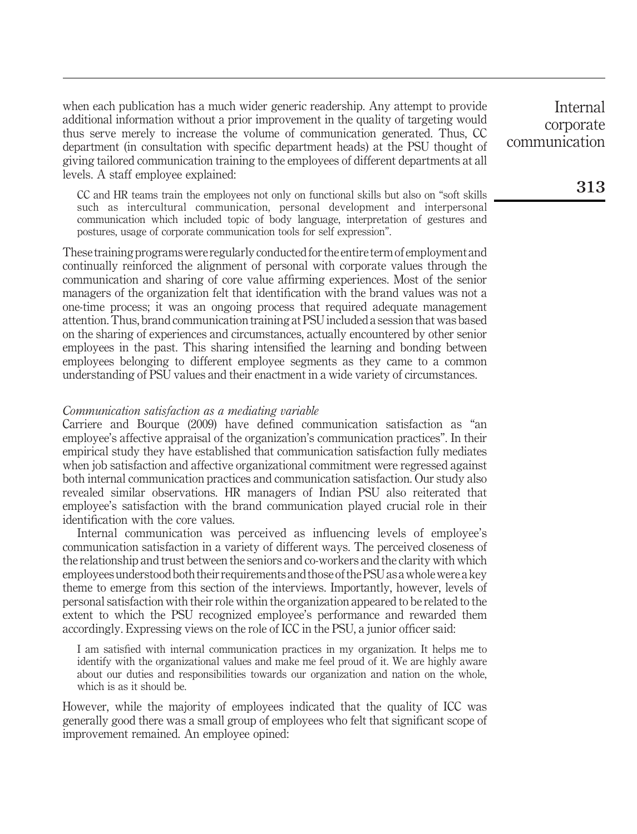when each publication has a much wider generic readership. Any attempt to provide additional information without a prior improvement in the quality of targeting would thus serve merely to increase the volume of communication generated. Thus, CC department (in consultation with specific department heads) at the PSU thought of giving tailored communication training to the employees of different departments at all levels. A staff employee explained:

CC and HR teams train the employees not only on functional skills but also on "soft skills such as intercultural communication, personal development and interpersonal communication which included topic of body language, interpretation of gestures and postures, usage of corporate communication tools for self expression".

These training programs were regularly conducted for the entire term of employment and continually reinforced the alignment of personal with corporate values through the communication and sharing of core value affirming experiences. Most of the senior managers of the organization felt that identification with the brand values was not a one-time process; it was an ongoing process that required adequate management attention. Thus, brand communication training at PSU included a session that was based on the sharing of experiences and circumstances, actually encountered by other senior employees in the past. This sharing intensified the learning and bonding between employees belonging to different employee segments as they came to a common understanding of PSU values and their enactment in a wide variety of circumstances.

# *Communication satisfaction as a mediating variable*

Carriere and Bourque (2009) have defined communication satisfaction as "an employee's affective appraisal of the organization's communication practices". In their empirical study they have established that communication satisfaction fully mediates when job satisfaction and affective organizational commitment were regressed against both internal communication practices and communication satisfaction. Our study also revealed similar observations. HR managers of Indian PSU also reiterated that employee's satisfaction with the brand communication played crucial role in their identification with the core values.

Internal communication was perceived as influencing levels of employee's communication satisfaction in a variety of different ways. The perceived closeness of the relationship and trust between the seniors and co-workers and the clarity with which employees understood both their requirements and those of the PSU as a wholewere a key theme to emerge from this section of the interviews. Importantly, however, levels of personal satisfaction with their role within the organization appeared to be related to the extent to which the PSU recognized employee's performance and rewarded them accordingly. Expressing views on the role of ICC in the PSU, a junior officer said:

I am satisfied with internal communication practices in my organization. It helps me to identify with the organizational values and make me feel proud of it. We are highly aware about our duties and responsibilities towards our organization and nation on the whole, which is as it should be.

However, while the majority of employees indicated that the quality of ICC was generally good there was a small group of employees who felt that significant scope of improvement remained. An employee opined: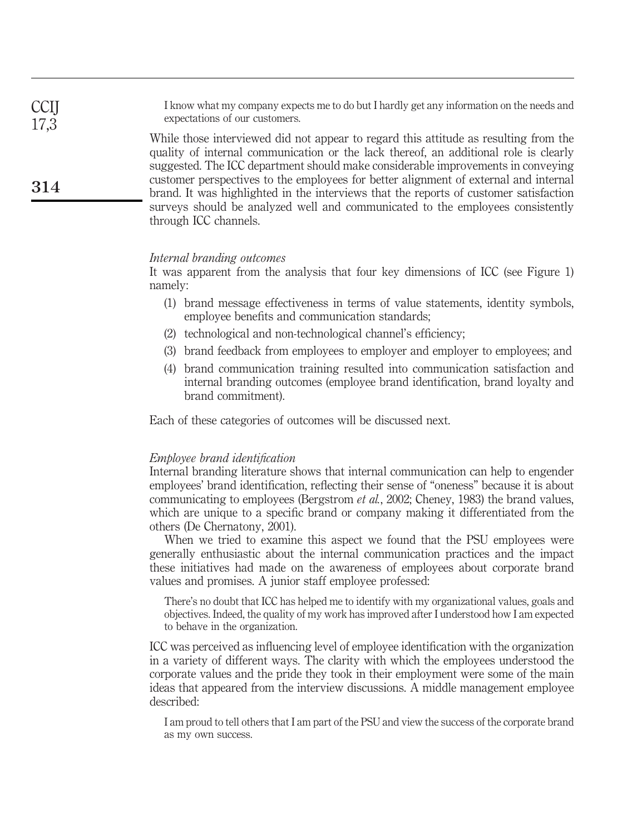| <b>CCIJ</b><br>17,3 | I know what my company expects me to do but I hardly get any information on the needs and<br>expectations of our customers.                                                                                                                                                                                                                                                                                                                       |
|---------------------|---------------------------------------------------------------------------------------------------------------------------------------------------------------------------------------------------------------------------------------------------------------------------------------------------------------------------------------------------------------------------------------------------------------------------------------------------|
| 314                 | While those interviewed did not appear to regard this attitude as resulting from the<br>quality of internal communication or the lack thereof, an additional role is clearly<br>suggested. The ICC department should make considerable improvements in conveying<br>customer perspectives to the employees for better alignment of external and internal<br>brand. It was highlighted in the interviews that the reports of customer satisfaction |
|                     | surveys should be analyzed well and communicated to the employees consistently<br>through ICC channels.                                                                                                                                                                                                                                                                                                                                           |

## *Internal branding outcomes*

It was apparent from the analysis that four key dimensions of ICC (see Figure 1) namely:

- (1) brand message effectiveness in terms of value statements, identity symbols, employee benefits and communication standards;
- (2) technological and non-technological channel's efficiency;
- (3) brand feedback from employees to employer and employer to employees; and
- (4) brand communication training resulted into communication satisfaction and internal branding outcomes (employee brand identification, brand loyalty and brand commitment).

Each of these categories of outcomes will be discussed next.

## *Employee brand identification*

Internal branding literature shows that internal communication can help to engender employees' brand identification, reflecting their sense of "oneness" because it is about communicating to employees (Bergstrom *et al.*, 2002; Cheney, 1983) the brand values, which are unique to a specific brand or company making it differentiated from the others (De Chernatony, 2001).

When we tried to examine this aspect we found that the PSU employees were generally enthusiastic about the internal communication practices and the impact these initiatives had made on the awareness of employees about corporate brand values and promises. A junior staff employee professed:

There's no doubt that ICC has helped me to identify with my organizational values, goals and objectives. Indeed, the quality of my work has improved after I understood how I am expected to behave in the organization.

ICC was perceived as influencing level of employee identification with the organization in a variety of different ways. The clarity with which the employees understood the corporate values and the pride they took in their employment were some of the main ideas that appeared from the interview discussions. A middle management employee described:

I am proud to tell others that I am part of the PSU and view the success of the corporate brand as my own success.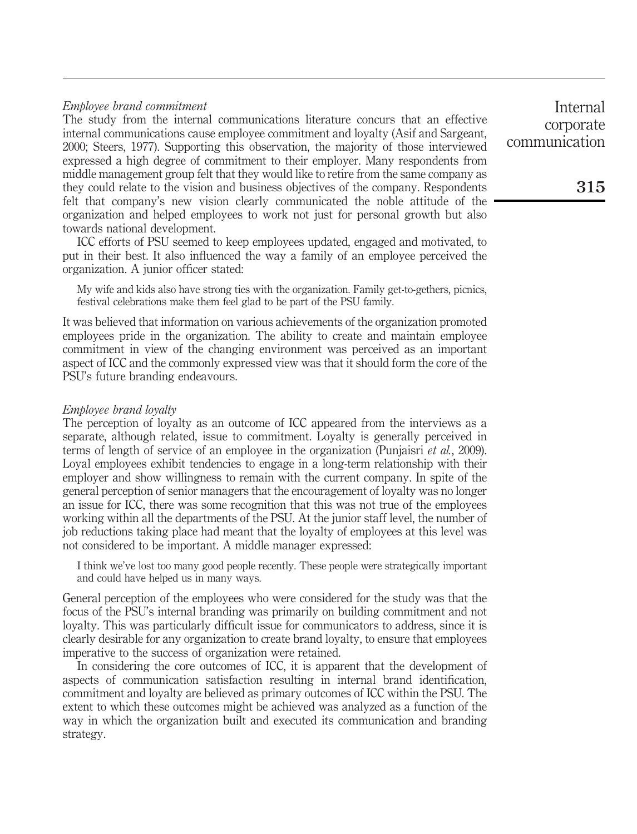# *Employee brand commitment*

The study from the internal communications literature concurs that an effective internal communications cause employee commitment and loyalty (Asif and Sargeant, 2000; Steers, 1977). Supporting this observation, the majority of those interviewed expressed a high degree of commitment to their employer. Many respondents from middle management group felt that they would like to retire from the same company as they could relate to the vision and business objectives of the company. Respondents felt that company's new vision clearly communicated the noble attitude of the organization and helped employees to work not just for personal growth but also towards national development.

ICC efforts of PSU seemed to keep employees updated, engaged and motivated, to put in their best. It also influenced the way a family of an employee perceived the organization. A junior officer stated:

My wife and kids also have strong ties with the organization. Family get-to-gethers, picnics, festival celebrations make them feel glad to be part of the PSU family.

It was believed that information on various achievements of the organization promoted employees pride in the organization. The ability to create and maintain employee commitment in view of the changing environment was perceived as an important aspect of ICC and the commonly expressed view was that it should form the core of the PSU's future branding endeavours.

# *Employee brand loyalty*

The perception of loyalty as an outcome of ICC appeared from the interviews as a separate, although related, issue to commitment. Loyalty is generally perceived in terms of length of service of an employee in the organization (Punjaisri *et al.*, 2009). Loyal employees exhibit tendencies to engage in a long-term relationship with their employer and show willingness to remain with the current company. In spite of the general perception of senior managers that the encouragement of loyalty was no longer an issue for ICC, there was some recognition that this was not true of the employees working within all the departments of the PSU. At the junior staff level, the number of job reductions taking place had meant that the loyalty of employees at this level was not considered to be important. A middle manager expressed:

I think we've lost too many good people recently. These people were strategically important and could have helped us in many ways.

General perception of the employees who were considered for the study was that the focus of the PSU's internal branding was primarily on building commitment and not loyalty. This was particularly difficult issue for communicators to address, since it is clearly desirable for any organization to create brand loyalty, to ensure that employees imperative to the success of organization were retained.

In considering the core outcomes of ICC, it is apparent that the development of aspects of communication satisfaction resulting in internal brand identification, commitment and loyalty are believed as primary outcomes of ICC within the PSU. The extent to which these outcomes might be achieved was analyzed as a function of the way in which the organization built and executed its communication and branding strategy.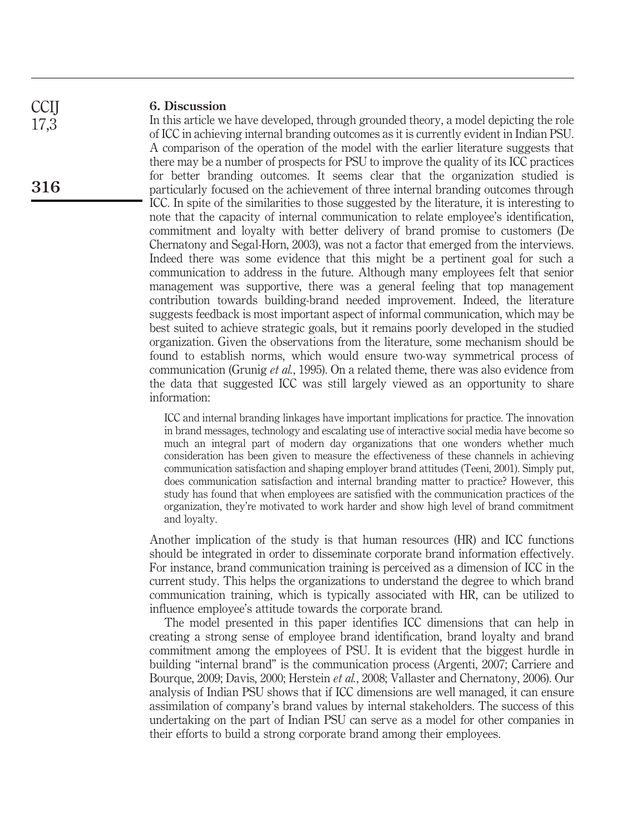# 6. Discussion

In this article we have developed, through grounded theory, a model depicting the role of ICC in achieving internal branding outcomes as it is currently evident in Indian PSU. A comparison of the operation of the model with the earlier literature suggests that there may be a number of prospects for PSU to improve the quality of its ICC practices for better branding outcomes. It seems clear that the organization studied is particularly focused on the achievement of three internal branding outcomes through ICC. In spite of the similarities to those suggested by the literature, it is interesting to note that the capacity of internal communication to relate employee's identification, commitment and loyalty with better delivery of brand promise to customers (De Chernatony and Segal-Horn, 2003), was not a factor that emerged from the interviews. Indeed there was some evidence that this might be a pertinent goal for such a communication to address in the future. Although many employees felt that senior management was supportive, there was a general feeling that top management contribution towards building-brand needed improvement. Indeed, the literature suggests feedback is most important aspect of informal communication, which may be best suited to achieve strategic goals, but it remains poorly developed in the studied organization. Given the observations from the literature, some mechanism should be found to establish norms, which would ensure two-way symmetrical process of communication (Grunig *et al.*, 1995). On a related theme, there was also evidence from the data that suggested ICC was still largely viewed as an opportunity to share information:

ICC and internal branding linkages have important implications for practice. The innovation in brand messages, technology and escalating use of interactive social media have become so much an integral part of modern day organizations that one wonders whether much consideration has been given to measure the effectiveness of these channels in achieving communication satisfaction and shaping employer brand attitudes (Teeni, 2001). Simply put, does communication satisfaction and internal branding matter to practice? However, this study has found that when employees are satisfied with the communication practices of the organization, they're motivated to work harder and show high level of brand commitment and loyalty.

Another implication of the study is that human resources (HR) and ICC functions should be integrated in order to disseminate corporate brand information effectively. For instance, brand communication training is perceived as a dimension of ICC in the current study. This helps the organizations to understand the degree to which brand communication training, which is typically associated with HR, can be utilized to influence employee's attitude towards the corporate brand.

The model presented in this paper identifies ICC dimensions that can help in creating a strong sense of employee brand identification, brand loyalty and brand commitment among the employees of PSU. It is evident that the biggest hurdle in building "internal brand" is the communication process (Argenti, 2007; Carriere and Bourque, 2009; Davis, 2000; Herstein *et al.*, 2008; Vallaster and Chernatony, 2006). Our analysis of Indian PSU shows that if ICC dimensions are well managed, it can ensure assimilation of company's brand values by internal stakeholders. The success of this undertaking on the part of Indian PSU can serve as a model for other companies in their efforts to build a strong corporate brand among their employees.

**CCII** 17,3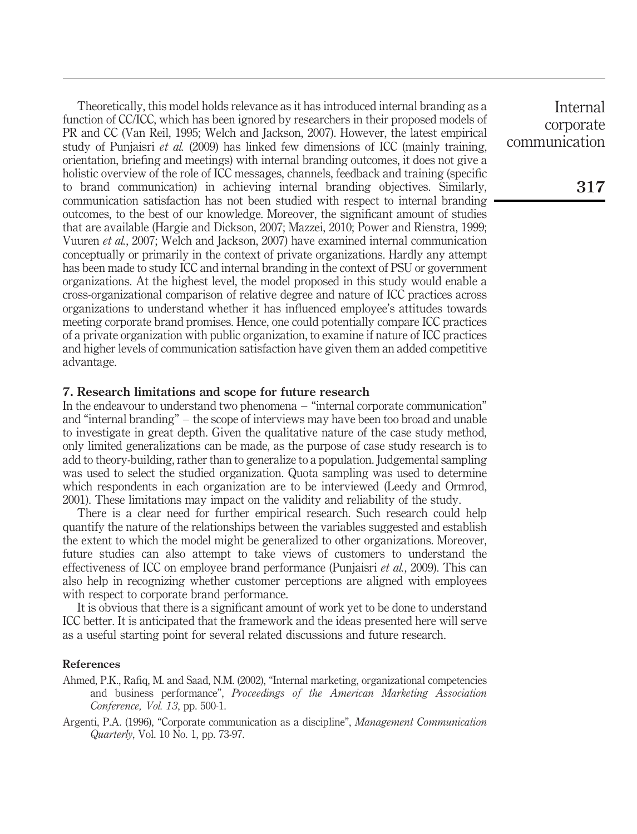Theoretically, this model holds relevance as it has introduced internal branding as a function of CC/ICC, which has been ignored by researchers in their proposed models of PR and CC (Van Reil, 1995; Welch and Jackson, 2007). However, the latest empirical study of Punjaisri *et al.* (2009) has linked few dimensions of ICC (mainly training, orientation, briefing and meetings) with internal branding outcomes, it does not give a holistic overview of the role of ICC messages, channels, feedback and training (specific to brand communication) in achieving internal branding objectives. Similarly, communication satisfaction has not been studied with respect to internal branding outcomes, to the best of our knowledge. Moreover, the significant amount of studies that are available (Hargie and Dickson, 2007; Mazzei, 2010; Power and Rienstra, 1999; Vuuren *et al.*, 2007; Welch and Jackson, 2007) have examined internal communication conceptually or primarily in the context of private organizations. Hardly any attempt has been made to study ICC and internal branding in the context of PSU or government organizations. At the highest level, the model proposed in this study would enable a cross-organizational comparison of relative degree and nature of ICC practices across organizations to understand whether it has influenced employee's attitudes towards meeting corporate brand promises. Hence, one could potentially compare ICC practices of a private organization with public organization, to examine if nature of ICC practices and higher levels of communication satisfaction have given them an added competitive advantage.

# 7. Research limitations and scope for future research

In the endeavour to understand two phenomena – "internal corporate communication" and "internal branding" – the scope of interviews may have been too broad and unable to investigate in great depth. Given the qualitative nature of the case study method, only limited generalizations can be made, as the purpose of case study research is to add to theory-building, rather than to generalize to a population. Judgemental sampling was used to select the studied organization. Quota sampling was used to determine which respondents in each organization are to be interviewed (Leedy and Ormrod, 2001). These limitations may impact on the validity and reliability of the study.

There is a clear need for further empirical research. Such research could help quantify the nature of the relationships between the variables suggested and establish the extent to which the model might be generalized to other organizations. Moreover, future studies can also attempt to take views of customers to understand the effectiveness of ICC on employee brand performance (Punjaisri *et al.*, 2009). This can also help in recognizing whether customer perceptions are aligned with employees with respect to corporate brand performance.

It is obvious that there is a significant amount of work yet to be done to understand ICC better. It is anticipated that the framework and the ideas presented here will serve as a useful starting point for several related discussions and future research.

#### References

- Ahmed, P.K., Rafiq, M. and Saad, N.M. (2002), "Internal marketing, organizational competencies and business performance", *Proceedings of the American Marketing Association Conference, Vol. 13*, pp. 500-1.
- Argenti, P.A. (1996), "Corporate communication as a discipline", *Management Communication Quarterly*, Vol. 10 No. 1, pp. 73-97.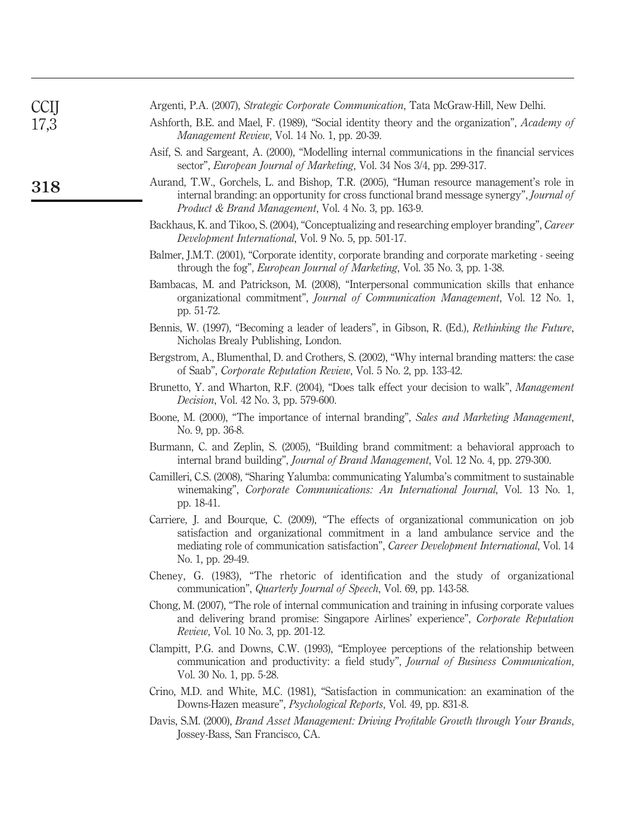|  |  |  |  |  | Argenti, P.A. (2007), Strategic Corporate Communication, Tata McGraw-Hill, New Delhi. |  |  |  |  |
|--|--|--|--|--|---------------------------------------------------------------------------------------|--|--|--|--|
|--|--|--|--|--|---------------------------------------------------------------------------------------|--|--|--|--|

- Ashforth, B.E. and Mael, F. (1989), "Social identity theory and the organization", *Academy of Management Review*, Vol. 14 No. 1, pp. 20-39.
- Asif, S. and Sargeant, A. (2000), "Modelling internal communications in the financial services sector", *European Journal of Marketing*, Vol. 34 Nos 3/4, pp. 299-317.
- Aurand, T.W., Gorchels, L. and Bishop, T.R. (2005), "Human resource management's role in internal branding: an opportunity for cross functional brand message synergy", *Journal of Product & Brand Management*, Vol. 4 No. 3, pp. 163-9.
- Backhaus, K. and Tikoo, S. (2004), "Conceptualizing and researching employer branding", *Career Development International*, Vol. 9 No. 5, pp. 501-17.
- Balmer, J.M.T. (2001), "Corporate identity, corporate branding and corporate marketing seeing through the fog", *European Journal of Marketing*, Vol. 35 No. 3, pp. 1-38.
- Bambacas, M. and Patrickson, M. (2008), "Interpersonal communication skills that enhance organizational commitment", *Journal of Communication Management*, Vol. 12 No. 1, pp. 51-72.
- Bennis, W. (1997), "Becoming a leader of leaders", in Gibson, R. (Ed.), *Rethinking the Future*, Nicholas Brealy Publishing, London.
- Bergstrom, A., Blumenthal, D. and Crothers, S. (2002), "Why internal branding matters: the case of Saab", *Corporate Reputation Review*, Vol. 5 No. 2, pp. 133-42.
- Brunetto, Y. and Wharton, R.F. (2004), "Does talk effect your decision to walk", *Management Decision*, Vol. 42 No. 3, pp. 579-600.
- Boone, M. (2000), "The importance of internal branding", *Sales and Marketing Management*, No. 9, pp. 36-8.
- Burmann, C. and Zeplin, S. (2005), "Building brand commitment: a behavioral approach to internal brand building", *Journal of Brand Management*, Vol. 12 No. 4, pp. 279-300.
- Camilleri, C.S. (2008), "Sharing Yalumba: communicating Yalumba's commitment to sustainable winemaking", *Corporate Communications: An International Journal*, Vol. 13 No. 1, pp. 18-41.
- Carriere, J. and Bourque, C. (2009), "The effects of organizational communication on job satisfaction and organizational commitment in a land ambulance service and the mediating role of communication satisfaction", *Career Development International*, Vol. 14 No. 1, pp. 29-49.
- Cheney, G. (1983), "The rhetoric of identification and the study of organizational communication", *Quarterly Journal of Speech*, Vol. 69, pp. 143-58.
- Chong, M. (2007), "The role of internal communication and training in infusing corporate values and delivering brand promise: Singapore Airlines' experience", *Corporate Reputation Review*, Vol. 10 No. 3, pp. 201-12.
- Clampitt, P.G. and Downs, C.W. (1993), "Employee perceptions of the relationship between communication and productivity: a field study", *Journal of Business Communication*, Vol. 30 No. 1, pp. 5-28.
- Crino, M.D. and White, M.C. (1981), "Satisfaction in communication: an examination of the Downs-Hazen measure", *Psychological Reports*, Vol. 49, pp. 831-8.
- Davis, S.M. (2000), *Brand Asset Management: Driving Profitable Growth through Your Brands*, Jossey-Bass, San Francisco, CA.

**CCIJ** 17,3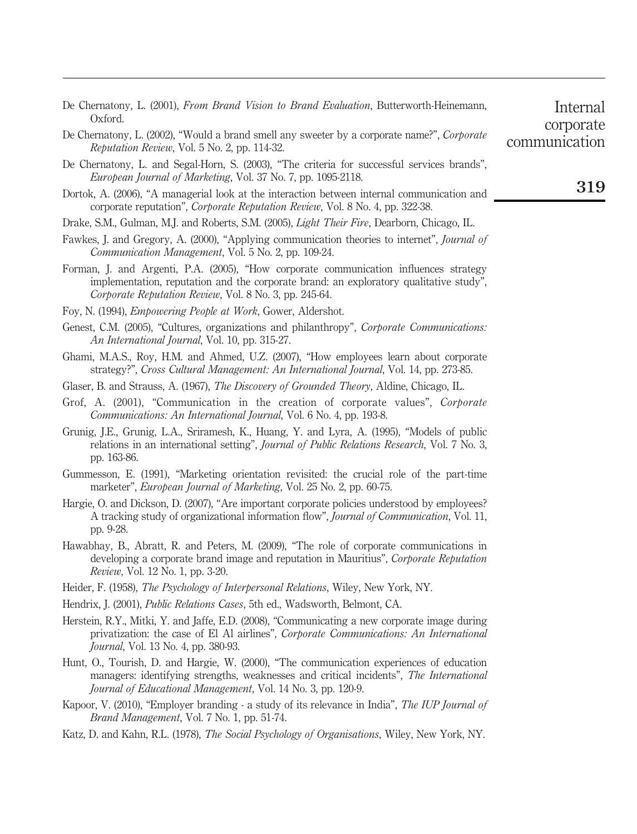| De Chernatony, L. (2001), From Brand Vision to Brand Evaluation, Butterworth-Heinemann,<br>Oxford.                                                                                                                                                                                               | Internal                   |
|--------------------------------------------------------------------------------------------------------------------------------------------------------------------------------------------------------------------------------------------------------------------------------------------------|----------------------------|
| De Chernatony, L. (2002), "Would a brand smell any sweeter by a corporate name?", <i>Corporate</i><br>Reputation Review, Vol. 5 No. 2, pp. 114-32.                                                                                                                                               | corporate<br>communication |
| De Chernatony, L. and Segal-Horn, S. (2003), "The criteria for successful services brands",<br>European Journal of Marketing, Vol. 37 No. 7, pp. 1095-2118.                                                                                                                                      |                            |
| Dortok, A. (2006), "A managerial look at the interaction between internal communication and<br>corporate reputation", Corporate Reputation Review, Vol. 8 No. 4, pp. 322-38.                                                                                                                     | 319                        |
| Drake, S.M., Gulman, M.J. and Roberts, S.M. (2005), <i>Light Their Fire</i> , Dearborn, Chicago, IL.                                                                                                                                                                                             |                            |
| Fawkes, J. and Gregory, A. (2000), "Applying communication theories to internet", <i>Journal of</i><br>Communication Management, Vol. 5 No. 2, pp. 109-24.                                                                                                                                       |                            |
| Forman, J. and Argenti, P.A. (2005), "How corporate communication influences strategy<br>implementation, reputation and the corporate brand: an exploratory qualitative study",<br>Corporate Reputation Review, Vol. 8 No. 3, pp. 245-64.                                                        |                            |
| Foy, N. (1994), <i>Empowering People at Work</i> , Gower, Aldershot.                                                                                                                                                                                                                             |                            |
| Genest, C.M. (2005), "Cultures, organizations and philanthropy", Corporate Communications:<br>An International Journal, Vol. 10, pp. 315-27.                                                                                                                                                     |                            |
| Ghami, M.A.S., Roy, H.M. and Ahmed, U.Z. (2007), "How employees learn about corporate<br>strategy?", Cross Cultural Management: An International Journal, Vol. 14, pp. 273-85.                                                                                                                   |                            |
| Glaser, B. and Strauss, A. (1967), The Discovery of Grounded Theory, Aldine, Chicago, IL.                                                                                                                                                                                                        |                            |
| Grof, A. (2001), "Communication in the creation of corporate values", Corporate<br>Communications: An International Journal, Vol. 6 No. 4, pp. 193-8.                                                                                                                                            |                            |
| Grunig, J.E., Grunig, L.A., Sriramesh, K., Huang, Y. and Lyra, A. (1995), "Models of public<br>relations in an international setting", Journal of Public Relations Research, Vol. 7 No. 3,<br>pp. 163-86.                                                                                        |                            |
| Gummesson, E. (1991), "Marketing orientation revisited: the crucial role of the part-time<br>marketer", European Journal of Marketing, Vol. 25 No. 2, pp. 60-75.                                                                                                                                 |                            |
| Hargie, O. and Dickson, D. (2007), "Are important corporate policies understood by employees?<br>A tracking study of organizational information flow", Journal of Communication, Vol. 11,<br>pp. 9-28.                                                                                           |                            |
| Hawabhay, B., Abratt, R. and Peters, M. (2009), "The role of corporate communications in<br>developing a corporate brand image and reputation in Mauritius", Corporate Reputation<br>Review, Vol. 12 No. 1, pp. 3-20.                                                                            |                            |
| Heider, F. (1958), <i>The Psychology of Interpersonal Relations</i> , Wiley, New York, NY.                                                                                                                                                                                                       |                            |
| Hendrix, J. (2001), <i>Public Relations Cases</i> , 5th ed., Wadsworth, Belmont, CA.                                                                                                                                                                                                             |                            |
| Herstein, R.Y., Mitki, Y. and Jaffe, E.D. (2008), "Communicating a new corporate image during<br>privatization: the case of El Al airlines", Corporate Communications: An International<br><i>Journal</i> , Vol. 13 No. 4, pp. 380-93.                                                           |                            |
| Hunt, O., Tourish, D. and Hargie, W. (2000), "The communication experiences of education<br>managers: identifying strengths, weaknesses and critical incidents", The International<br>Journal of Educational Management, Vol. 14 No. 3, pp. 120-9.                                               |                            |
| $\mathbf{H}^T$ and $\mathbf{H}^T$ and $\mathbf{H}$ and $\mathbf{H}$ and $\mathbf{H}$ and $\mathbf{H}$ and $\mathbf{H}$ and $\mathbf{H}$ and $\mathbf{H}$ and $\mathbf{H}$ and $\mathbf{H}$ and $\mathbf{H}$ and $\mathbf{H}$ and $\mathbf{H}$ and $\mathbf{H}$ and $\mathbf{H}$ and $\mathbf{H}$ |                            |

- Kapoor, V. (2010), "Employer branding a study of its relevance in India", *The IUP Journal of Brand Management*, Vol. 7 No. 1, pp. 51-74.
- Katz, D. and Kahn, R.L. (1978), *The Social Psychology of Organisations*, Wiley, New York, NY.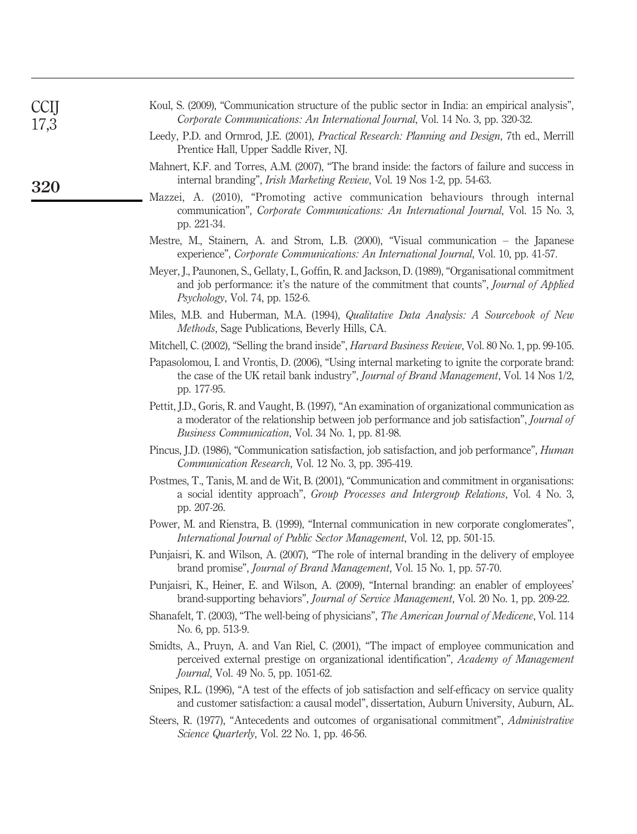| ر د ب<br>17,3 | Corporate Communications: An International Journal, Vol. 14 No. 3, pp. 320-32.                                                                                                                                                                             |
|---------------|------------------------------------------------------------------------------------------------------------------------------------------------------------------------------------------------------------------------------------------------------------|
|               | Leedy, P.D. and Ormrod, J.E. (2001), Practical Research: Planning and Design, 7th ed., Merrill<br>Prentice Hall, Upper Saddle River, NJ.                                                                                                                   |
| 320           | Mahnert, K.F. and Torres, A.M. (2007), "The brand inside: the factors of failure and success in<br>internal branding", <i>Irish Marketing Review</i> , Vol. 19 Nos 1-2, pp. 54-63.                                                                         |
|               | Mazzei, A. (2010), "Promoting active communication behaviours through internal<br>communication", Corporate Communications: An International Journal, Vol. 15 No. 3,<br>pp. 221-34.                                                                        |
|               | Mestre, M., Stainern, A. and Strom, L.B. (2000), "Visual communication – the Japanese<br>experience", <i>Corporate Communications: An International Journal</i> , Vol. 10, pp. 41-57.                                                                      |
|               | Meyer, J., Paunonen, S., Gellaty, I., Goffin, R. and Jackson, D. (1989), "Organisational commitment<br>and job performance: it's the nature of the commitment that counts", Journal of Applied<br><i>Psychology</i> , Vol. 74, pp. 152-6.                  |
|               | Miles, M.B. and Huberman, M.A. (1994), Qualitative Data Analysis: A Sourcebook of New<br><i>Methods</i> , Sage Publications, Beverly Hills, CA.                                                                                                            |
|               | Mitchell, C. (2002), "Selling the brand inside", <i>Harvard Business Review</i> , Vol. 80 No. 1, pp. 99-105.                                                                                                                                               |
|               | Papasolomou, I. and Vrontis, D. (2006), "Using internal marketing to ignite the corporate brand:<br>the case of the UK retail bank industry", Journal of Brand Management, Vol. 14 Nos 1/2,<br>pp. 177-95.                                                 |
|               | Pettit, J.D., Goris, R. and Vaught, B. (1997), "An examination of organizational communication as<br>a moderator of the relationship between job performance and job satisfaction", Journal of<br><i>Business Communication, Vol. 34 No. 1, pp. 81-98.</i> |
|               | Pincus, J.D. (1986), "Communication satisfaction, job satisfaction, and job performance", <i>Human</i><br><i>Communication Research, Vol. 12 No. 3, pp. 395-419.</i>                                                                                       |
|               | Postmes, T., Tanis, M. and de Wit, B. (2001), "Communication and commitment in organisations:<br>a social identity approach", Group Processes and Intergroup Relations, Vol. 4 No. 3,<br>pp. 207-26.                                                       |
|               | Power, M. and Rienstra, B. (1999), "Internal communication in new corporate conglomerates",<br><i>International Journal of Public Sector Management, Vol. 12, pp. 501-15.</i>                                                                              |
|               | Punjaisri, K. and Wilson, A. (2007), "The role of internal branding in the delivery of employee<br>brand promise", Journal of Brand Management, Vol. 15 No. 1, pp. 57-70.                                                                                  |
|               | Punjaisri, K., Heiner, E. and Wilson, A. (2009), "Internal branding: an enabler of employees'<br>brand-supporting behaviors", <i>Journal of Service Management</i> , Vol. 20 No. 1, pp. 209-22.                                                            |
|               | Shanafelt, T. (2003), "The well-being of physicians", The American Journal of Medicene, Vol. 114<br>No. 6, pp. 513-9.                                                                                                                                      |
|               | Smidts, A., Pruyn, A. and Van Riel, C. (2001), "The impact of employee communication and<br>perceived external prestige on organizational identification", Academy of Management<br><i>Journal</i> , Vol. 49 No. 5, pp. 1051-62.                           |
|               | Snipes, R.L. (1996), "A test of the effects of job satisfaction and self-efficacy on service quality<br>and customer satisfaction: a causal model", dissertation, Auburn University, Auburn, AL.                                                           |
|               | Steers, R. (1977), "Antecedents and outcomes of organisational commitment", Administrative<br>Science Quarterly, Vol. 22 No. 1, pp. 46-56.                                                                                                                 |
|               |                                                                                                                                                                                                                                                            |

Koul, S. (2009), "Communication structure of the public sector in India: an empirical analysis",

CCIJ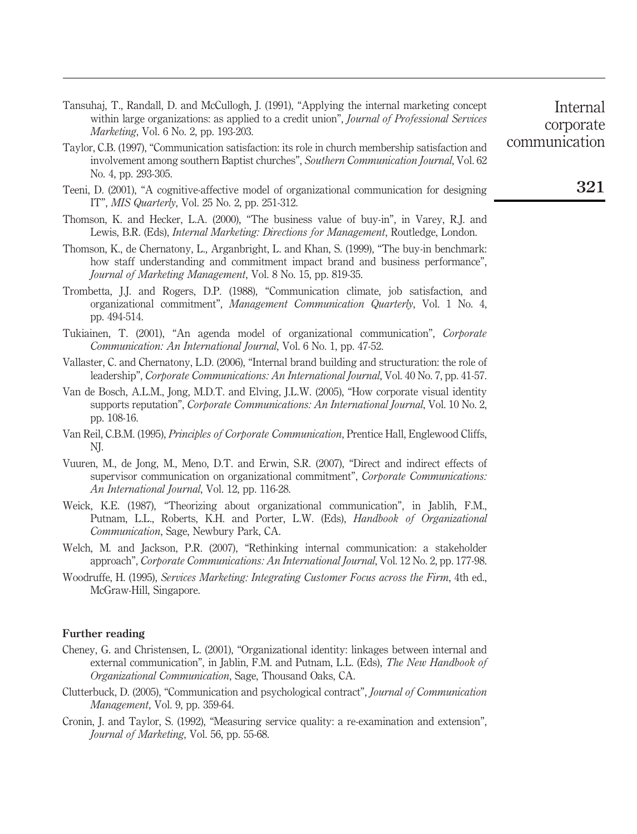| Tansuhaj, T., Randall, D. and McCullogh, J. (1991), "Applying the internal marketing concept       |  |
|----------------------------------------------------------------------------------------------------|--|
| within large organizations: as applied to a credit union", <i>Journal of Professional Services</i> |  |
| <i>Marketing</i> , Vol. 6 No. 2, pp. 193-203.                                                      |  |

- Taylor, C.B. (1997), "Communication satisfaction: its role in church membership satisfaction and involvement among southern Baptist churches", *Southern Communication Journal*, Vol. 62 No. 4, pp. 293-305.
- Teeni, D. (2001), "A cognitive-affective model of organizational communication for designing IT", *MIS Quarterly*, Vol. 25 No. 2, pp. 251-312.
- Thomson, K. and Hecker, L.A. (2000), "The business value of buy-in", in Varey, R.J. and Lewis, B.R. (Eds), *Internal Marketing: Directions for Management*, Routledge, London.
- Thomson, K., de Chernatony, L., Arganbright, L. and Khan, S. (1999), "The buy-in benchmark: how staff understanding and commitment impact brand and business performance", *Journal of Marketing Management*, Vol. 8 No. 15, pp. 819-35.
- Trombetta, J.J. and Rogers, D.P. (1988), "Communication climate, job satisfaction, and organizational commitment", *Management Communication Quarterly*, Vol. 1 No. 4, pp. 494-514.
- Tukiainen, T. (2001), "An agenda model of organizational communication", *Corporate Communication: An International Journal*, Vol. 6 No. 1, pp. 47-52.
- Vallaster, C. and Chernatony, L.D. (2006), "Internal brand building and structuration: the role of leadership", *Corporate Communications: An International Journal*, Vol. 40 No. 7, pp. 41-57.
- Van de Bosch, A.L.M., Jong, M.D.T. and Elving, J.L.W. (2005), "How corporate visual identity supports reputation", *Corporate Communications: An International Journal*, Vol. 10 No. 2, pp. 108-16.
- Van Reil, C.B.M. (1995), *Principles of Corporate Communication*, Prentice Hall, Englewood Cliffs, NJ.
- Vuuren, M., de Jong, M., Meno, D.T. and Erwin, S.R. (2007), "Direct and indirect effects of supervisor communication on organizational commitment", *Corporate Communications: An International Journal*, Vol. 12, pp. 116-28.
- Weick, K.E. (1987), "Theorizing about organizational communication", in Jablih, F.M., Putnam, L.L., Roberts, K.H. and Porter, L.W. (Eds), *Handbook of Organizational Communication*, Sage, Newbury Park, CA.
- Welch, M. and Jackson, P.R. (2007), "Rethinking internal communication: a stakeholder approach", *Corporate Communications: An International Journal*, Vol. 12 No. 2, pp. 177-98.
- Woodruffe, H. (1995), *Services Marketing: Integrating Customer Focus across the Firm*, 4th ed., McGraw-Hill, Singapore.

#### Further reading

- Cheney, G. and Christensen, L. (2001), "Organizational identity: linkages between internal and external communication", in Jablin, F.M. and Putnam, L.L. (Eds), *The New Handbook of Organizational Communication*, Sage, Thousand Oaks, CA.
- Clutterbuck, D. (2005), "Communication and psychological contract", *Journal of Communication Management*, Vol. 9, pp. 359-64.
- Cronin, J. and Taylor, S. (1992), "Measuring service quality: a re-examination and extension", *Journal of Marketing*, Vol. 56, pp. 55-68.